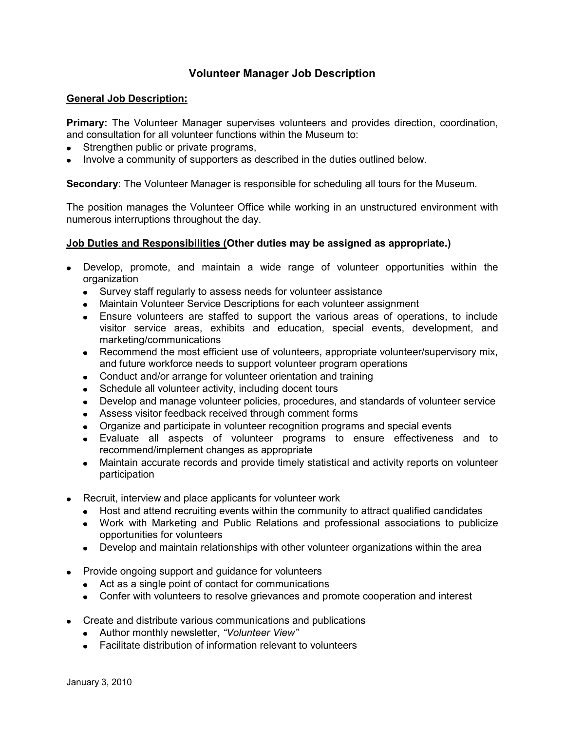# **Volunteer Manager Job Description**

## **General Job Description:**

**Primary:** The Volunteer Manager supervises volunteers and provides direction, coordination, and consultation for all volunteer functions within the Museum to:

- Strengthen public or private programs,
- Involve a community of supporters as described in the duties outlined below.

**Secondary**: The Volunteer Manager is responsible for scheduling all tours for the Museum.

The position manages the Volunteer Office while working in an unstructured environment with numerous interruptions throughout the day.

## **Job Duties and Responsibilities (Other duties may be assigned as appropriate.)**

- Develop, promote, and maintain a wide range of volunteer opportunities within the organization
	- Survey staff regularly to assess needs for volunteer assistance
	- Maintain Volunteer Service Descriptions for each volunteer assignment
	- Ensure volunteers are staffed to support the various areas of operations, to include visitor service areas, exhibits and education, special events, development, and marketing/communications
	- Recommend the most efficient use of volunteers, appropriate volunteer/supervisory mix, and future workforce needs to support volunteer program operations
	- Conduct and/or arrange for volunteer orientation and training
	- Schedule all volunteer activity, including docent tours
	- Develop and manage volunteer policies, procedures, and standards of volunteer service
	- Assess visitor feedback received through comment forms
	- Organize and participate in volunteer recognition programs and special events
	- Evaluate all aspects of volunteer programs to ensure effectiveness and to recommend/implement changes as appropriate
	- Maintain accurate records and provide timely statistical and activity reports on volunteer participation
- Recruit, interview and place applicants for volunteer work
	- Host and attend recruiting events within the community to attract qualified candidates
	- Work with Marketing and Public Relations and professional associations to publicize opportunities for volunteers
	- Develop and maintain relationships with other volunteer organizations within the area
- Provide ongoing support and guidance for volunteers
	- Act as a single point of contact for communications
	- Confer with volunteers to resolve grievances and promote cooperation and interest
- Create and distribute various communications and publications
	- Author monthly newsletter, *"Volunteer View"*
	- Facilitate distribution of information relevant to volunteers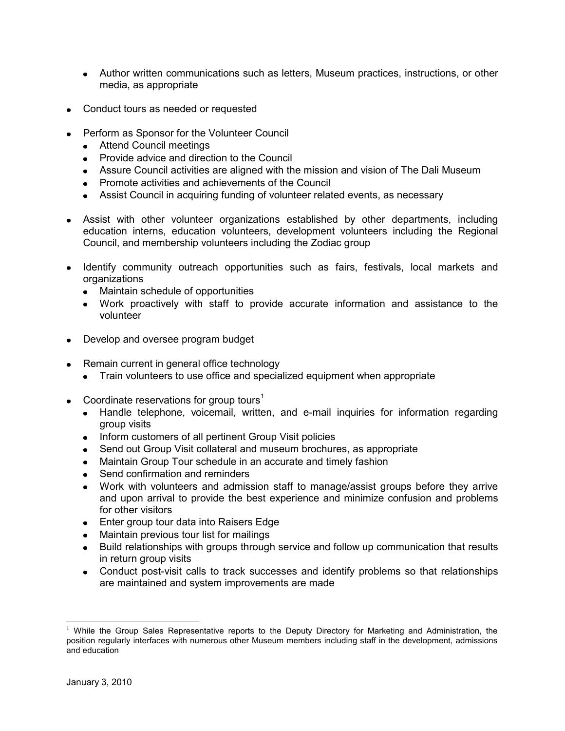- Author written communications such as letters, Museum practices, instructions, or other media, as appropriate
- Conduct tours as needed or requested
- Perform as Sponsor for the Volunteer Council
	- Attend Council meetings
	- Provide advice and direction to the Council
	- Assure Council activities are aligned with the mission and vision of The Dali Museum
	- Promote activities and achievements of the Council
	- Assist Council in acquiring funding of volunteer related events, as necessary
- Assist with other volunteer organizations established by other departments, including education interns, education volunteers, development volunteers including the Regional Council, and membership volunteers including the Zodiac group
- Identify community outreach opportunities such as fairs, festivals, local markets and organizations
	- Maintain schedule of opportunities
	- Work proactively with staff to provide accurate information and assistance to the volunteer
- Develop and oversee program budget
- Remain current in general office technology
	- Train volunteers to use office and specialized equipment when appropriate
- Coordinate reservations for group tours<sup>1</sup>
	- Handle telephone, voicemail, written, and e-mail inquiries for information regarding group visits
	- Inform customers of all pertinent Group Visit policies
	- Send out Group Visit collateral and museum brochures, as appropriate
	- Maintain Group Tour schedule in an accurate and timely fashion
	- Send confirmation and reminders
	- Work with volunteers and admission staff to manage/assist groups before they arrive and upon arrival to provide the best experience and minimize confusion and problems for other visitors
	- Enter group tour data into Raisers Edge
	- Maintain previous tour list for mailings
	- Build relationships with groups through service and follow up communication that results in return group visits
	- Conduct post-visit calls to track successes and identify problems so that relationships are maintained and system improvements are made

 $\overline{a}$ 

<sup>&</sup>lt;sup>1</sup> While the Group Sales Representative reports to the Deputy Directory for Marketing and Administration, the position regularly interfaces with numerous other Museum members including staff in the development, admissions and education